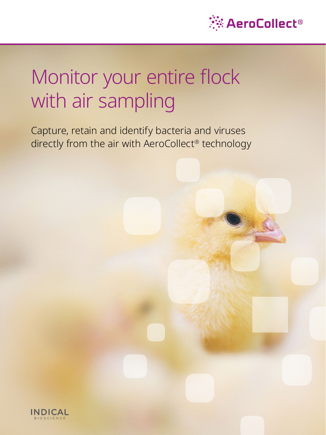

# Monitor your entire flock with air sampling

Capture, retain and identify bacteria and viruses directly from the air with AeroCollect® technology

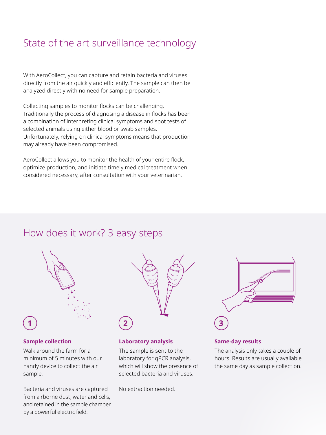### State of the art surveillance technology

With AeroCollect, you can capture and retain bacteria and viruses directly from the air quickly and efficiently. The sample can then be analyzed directly with no need for sample preparation.

Collecting samples to monitor flocks can be challenging. Traditionally the process of diagnosing a disease in flocks has been a combination of interpreting clinical symptoms and spot tests of selected animals using either blood or swab samples. Unfortunately, relying on clinical symptoms means that production may already have been compromised.

AeroCollect allows you to monitor the health of your entire flock, optimize production, and initiate timely medical treatment when considered necessary, after consultation with your veterinarian.

### How does it work? 3 easy steps



#### **Sample collection**

Walk around the farm for a minimum of 5 minutes with our handy device to collect the air sample.

Bacteria and viruses are captured from airborne dust, water and cells, and retained in the sample chamber by a powerful electric field.

#### **Laboratory analysis**

The sample is sent to the laboratory for qPCR analysis, which will show the presence of selected bacteria and viruses.

No extraction needed.

#### **Same-day results**

The analysis only takes a couple of hours. Results are usually available the same day as sample collection.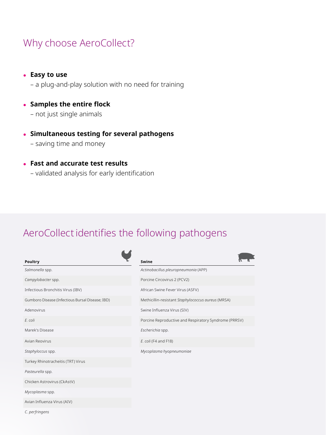### Why choose AeroCollect?

- **Easy to use**  – a plug-and-play solution with no need for training
- **Samples the entire flock** – not just single animals
- **Simultaneous testing for several pathogens**
	- saving time and money
- **Fast and accurate test results**  – validated analysis for early identification

## AeroCollect identifies the following pathogens

| <b>Poultry</b>                                   | Swine                                                 |
|--------------------------------------------------|-------------------------------------------------------|
| Salmonella spp.                                  | Actinobacillus pleuropneumonia (APP)                  |
| Campylobacter spp.                               | Porcine Circovirus 2 (PCV2)                           |
| Infectious Bronchitis Virus (IBV)                | African Swine Fever Virus (ASFV)                      |
| Gumboro Disease (Infectious Bursal Disease; IBD) | Methicillin-resistant Staphylococcus aureus (MRSA)    |
| Adenovirus                                       | Swine Influenza Virus (SIV)                           |
| E. coli                                          | Porcine Reproductive and Respiratory Syndrome (PRRSV) |
| Marek's Disease                                  | Escherichia spp.                                      |
| Avian Reovirus                                   | E. coli (F4 and F18)                                  |
| Staphyloccus spp.                                | Mycoplasma hyopneumoniae                              |
| Turkey Rhinotracheitis (TRT) Virus               |                                                       |
| Pasteurella spp.                                 |                                                       |
| Chicken Astrovirus (CkAstV)                      |                                                       |
| Mycoplasma spp.                                  |                                                       |
| Avian Influenza Virus (AIV)                      |                                                       |
| C. perfringens                                   |                                                       |